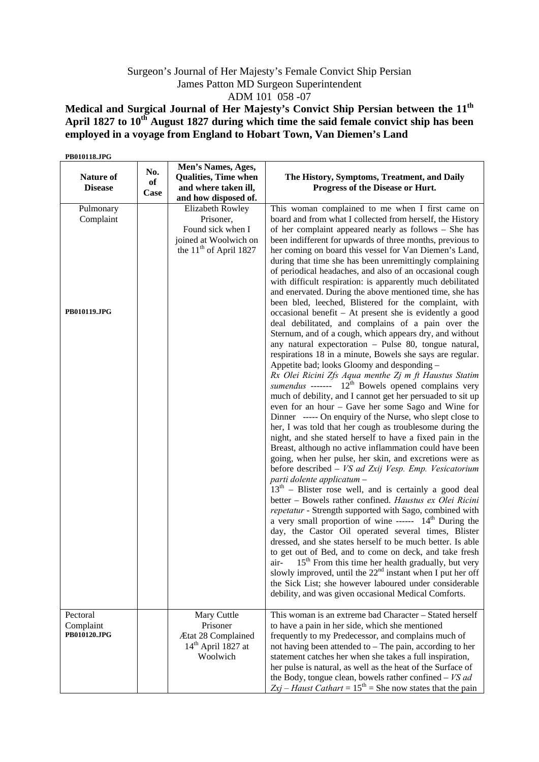## Surgeon's Journal of Her Majesty's Female Convict Ship Persian James Patton MD Surgeon Superintendent ADM 101 058 -07

**Medical and Surgical Journal of Her Majesty's Convict Ship Persian between the 11th** April 1827 to 10<sup>th</sup> August 1827 during which time the said female convict ship has been **employed in a voyage from England to Hobart Town, Van Diemen's Land** 

| PB010118.JPG                                       |                   |                                                                                                                        |                                                                                                                                                                                                                                                                                                                                                                                                                                                                                                                                                                                                                                                                                                                                                                                                                                                                                                                                                                                                                                                                                                                                                                                                                                                                                                                                                                                                                                                                                                                                                                                                                                                                                                                                                                                                                                                                                                                                                                                                                                                                                                                                                                                                                                                                                                                                                                     |
|----------------------------------------------------|-------------------|------------------------------------------------------------------------------------------------------------------------|---------------------------------------------------------------------------------------------------------------------------------------------------------------------------------------------------------------------------------------------------------------------------------------------------------------------------------------------------------------------------------------------------------------------------------------------------------------------------------------------------------------------------------------------------------------------------------------------------------------------------------------------------------------------------------------------------------------------------------------------------------------------------------------------------------------------------------------------------------------------------------------------------------------------------------------------------------------------------------------------------------------------------------------------------------------------------------------------------------------------------------------------------------------------------------------------------------------------------------------------------------------------------------------------------------------------------------------------------------------------------------------------------------------------------------------------------------------------------------------------------------------------------------------------------------------------------------------------------------------------------------------------------------------------------------------------------------------------------------------------------------------------------------------------------------------------------------------------------------------------------------------------------------------------------------------------------------------------------------------------------------------------------------------------------------------------------------------------------------------------------------------------------------------------------------------------------------------------------------------------------------------------------------------------------------------------------------------------------------------------|
| <b>Nature of</b><br><b>Disease</b>                 | No.<br>of<br>Case | Men's Names, Ages,<br><b>Qualities, Time when</b><br>and where taken ill,<br>and how disposed of.                      | The History, Symptoms, Treatment, and Daily<br>Progress of the Disease or Hurt.                                                                                                                                                                                                                                                                                                                                                                                                                                                                                                                                                                                                                                                                                                                                                                                                                                                                                                                                                                                                                                                                                                                                                                                                                                                                                                                                                                                                                                                                                                                                                                                                                                                                                                                                                                                                                                                                                                                                                                                                                                                                                                                                                                                                                                                                                     |
| Pulmonary<br>Complaint<br>PB010119.JPG<br>Pectoral |                   | Elizabeth Rowley<br>Prisoner,<br>Found sick when I<br>joined at Woolwich on<br>the $11th$ of April 1827<br>Mary Cuttle | This woman complained to me when I first came on<br>board and from what I collected from herself, the History<br>of her complaint appeared nearly as follows - She has<br>been indifferent for upwards of three months, previous to<br>her coming on board this vessel for Van Diemen's Land,<br>during that time she has been unremittingly complaining<br>of periodical headaches, and also of an occasional cough<br>with difficult respiration: is apparently much debilitated<br>and enervated. During the above mentioned time, she has<br>been bled, leeched, Blistered for the complaint, with<br>occasional benefit $-$ At present she is evidently a good<br>deal debilitated, and complains of a pain over the<br>Sternum, and of a cough, which appears dry, and without<br>any natural expectoration - Pulse 80, tongue natural,<br>respirations 18 in a minute, Bowels she says are regular.<br>Appetite bad; looks Gloomy and desponding -<br>Rx Olei Ricini Zfs Aqua menthe Zj m ft Haustus Statim<br>sumendus ------- $12^{th}$ Bowels opened complains very<br>much of debility, and I cannot get her persuaded to sit up<br>even for an hour - Gave her some Sago and Wine for<br>Dinner ----- On enquiry of the Nurse, who slept close to<br>her, I was told that her cough as troublesome during the<br>night, and she stated herself to have a fixed pain in the<br>Breast, although no active inflammation could have been<br>going, when her pulse, her skin, and excretions were as<br>before described $- VS$ ad Zxij Vesp. Emp. Vesicatorium<br>parti dolente applicatum -<br>$13th$ – Blister rose well, and is certainly a good deal<br>better - Bowels rather confined. Haustus ex Olei Ricini<br>repetatur - Strength supported with Sago, combined with<br>a very small proportion of wine ------ 14 <sup>th</sup> During the<br>day, the Castor Oil operated several times, Blister<br>dressed, and she states herself to be much better. Is able<br>to get out of Bed, and to come on deck, and take fresh<br>15 <sup>th</sup> From this time her health gradually, but very<br>air-<br>slowly improved, until the $22nd$ instant when I put her off<br>the Sick List; she however laboured under considerable<br>debility, and was given occasional Medical Comforts.<br>This woman is an extreme bad Character - Stated herself |
| Complaint<br>PB010120.JPG                          |                   | Prisoner<br>Ætat 28 Complained<br>$14th$ April 1827 at<br>Woolwich                                                     | to have a pain in her side, which she mentioned<br>frequently to my Predecessor, and complains much of<br>not having been attended to $-$ The pain, according to her<br>statement catches her when she takes a full inspiration,<br>her pulse is natural, as well as the heat of the Surface of<br>the Body, tongue clean, bowels rather confined $-VS$ <i>ad</i><br>$\chi$ zyj – Haust Cathart = $15$ <sup>th</sup> = She now states that the pain                                                                                                                                                                                                                                                                                                                                                                                                                                                                                                                                                                                                                                                                                                                                                                                                                                                                                                                                                                                                                                                                                                                                                                                                                                                                                                                                                                                                                                                                                                                                                                                                                                                                                                                                                                                                                                                                                                                 |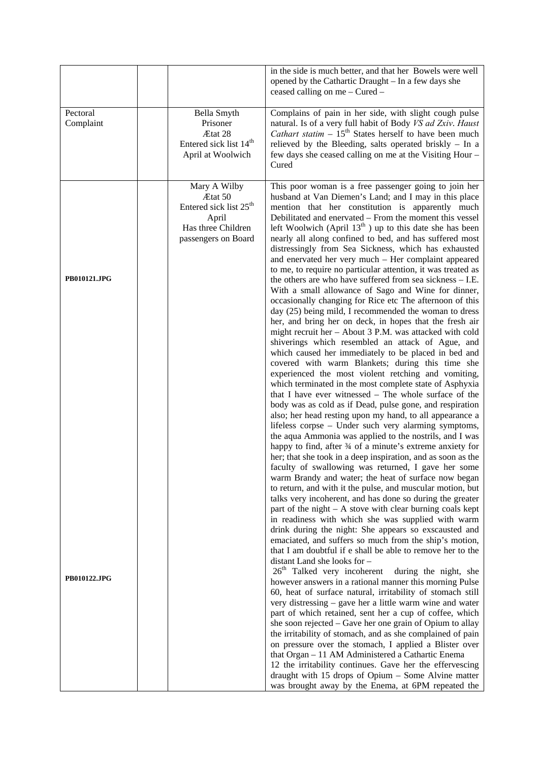|                       |                                                                                                                     | in the side is much better, and that her Bowels were well<br>opened by the Cathartic Draught - In a few days she<br>ceased calling on me - Cured -                                                                                                                                                                                                                                                                                                                                                                                                                                                                                                                                                                                                                                                                                                                                                                                                                                                                                                                                                                                                                                                                                                                                                                                                                                                                                                                                                                                                                                                                                                                                                                                         |
|-----------------------|---------------------------------------------------------------------------------------------------------------------|--------------------------------------------------------------------------------------------------------------------------------------------------------------------------------------------------------------------------------------------------------------------------------------------------------------------------------------------------------------------------------------------------------------------------------------------------------------------------------------------------------------------------------------------------------------------------------------------------------------------------------------------------------------------------------------------------------------------------------------------------------------------------------------------------------------------------------------------------------------------------------------------------------------------------------------------------------------------------------------------------------------------------------------------------------------------------------------------------------------------------------------------------------------------------------------------------------------------------------------------------------------------------------------------------------------------------------------------------------------------------------------------------------------------------------------------------------------------------------------------------------------------------------------------------------------------------------------------------------------------------------------------------------------------------------------------------------------------------------------------|
| Pectoral<br>Complaint | Bella Smyth<br>Prisoner<br>Ætat 28<br>Entered sick list 14 <sup>th</sup><br>April at Woolwich                       | Complains of pain in her side, with slight cough pulse<br>natural. Is of a very full habit of Body VS ad Zxiv. Haust<br><i>Cathart statim</i> $-15th$ States herself to have been much<br>relieved by the Bleeding, salts operated briskly - In a<br>few days she ceased calling on me at the Visiting Hour –<br>Cured                                                                                                                                                                                                                                                                                                                                                                                                                                                                                                                                                                                                                                                                                                                                                                                                                                                                                                                                                                                                                                                                                                                                                                                                                                                                                                                                                                                                                     |
| PB010121.JPG          | Mary A Wilby<br>Ætat 50<br>Entered sick list 25 <sup>th</sup><br>April<br>Has three Children<br>passengers on Board | This poor woman is a free passenger going to join her<br>husband at Van Diemen's Land; and I may in this place<br>mention that her constitution is apparently much<br>Debilitated and enervated – From the moment this vessel<br>left Woolwich (April $13th$ ) up to this date she has been<br>nearly all along confined to bed, and has suffered most<br>distressingly from Sea Sickness, which has exhausted<br>and enervated her very much - Her complaint appeared<br>to me, to require no particular attention, it was treated as<br>the others are who have suffered from sea sickness $-$ I.E.<br>With a small allowance of Sago and Wine for dinner,<br>occasionally changing for Rice etc The afternoon of this<br>day (25) being mild, I recommended the woman to dress<br>her, and bring her on deck, in hopes that the fresh air<br>might recruit her - About 3 P.M. was attacked with cold<br>shiverings which resembled an attack of Ague, and<br>which caused her immediately to be placed in bed and<br>covered with warm Blankets; during this time she<br>experienced the most violent retching and vomiting,<br>which terminated in the most complete state of Asphyxia<br>that I have ever witnessed - The whole surface of the<br>body was as cold as if Dead, pulse gone, and respiration<br>also; her head resting upon my hand, to all appearance a<br>lifeless corpse - Under such very alarming symptoms,<br>the aqua Ammonia was applied to the nostrils, and I was<br>happy to find, after 34 of a minute's extreme anxiety for<br>her; that she took in a deep inspiration, and as soon as the<br>faculty of swallowing was returned, I gave her some<br>warm Brandy and water; the heat of surface now began |
| <b>PB010122.JPG</b>   |                                                                                                                     | to return, and with it the pulse, and muscular motion, but<br>talks very incoherent, and has done so during the greater<br>part of the night $- A$ stove with clear burning coals kept<br>in readiness with which she was supplied with warm<br>drink during the night: She appears so exscausted and<br>emaciated, and suffers so much from the ship's motion,<br>that I am doubtful if e shall be able to remove her to the<br>distant Land she looks for -<br>26 <sup>th</sup> Talked very incoherent during the night, she<br>however answers in a rational manner this morning Pulse<br>60, heat of surface natural, irritability of stomach still<br>very distressing – gave her a little warm wine and water<br>part of which retained, sent her a cup of coffee, which<br>she soon rejected – Gave her one grain of Opium to allay<br>the irritability of stomach, and as she complained of pain<br>on pressure over the stomach, I applied a Blister over<br>that Organ - 11 AM Administered a Cathartic Enema<br>12 the irritability continues. Gave her the effervescing<br>draught with 15 drops of Opium - Some Alvine matter<br>was brought away by the Enema, at 6PM repeated the                                                                                                                                                                                                                                                                                                                                                                                                                                                                                                                                           |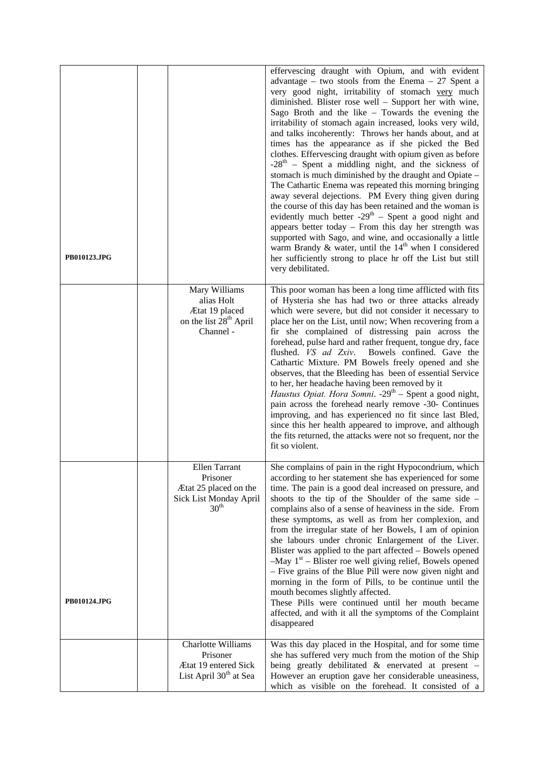| <b>PB010123.JPG</b> |                                                                                                     | effervescing draught with Opium, and with evident<br>advantage – two stools from the Enema – 27 Spent a<br>very good night, irritability of stomach very much<br>diminished. Blister rose well - Support her with wine,<br>Sago Broth and the like - Towards the evening the<br>irritability of stomach again increased, looks very wild,<br>and talks incoherently: Throws her hands about, and at<br>times has the appearance as if she picked the Bed<br>clothes. Effervescing draught with opium given as before<br>$-28th$ – Spent a middling night, and the sickness of<br>stomach is much diminished by the draught and Opiate -<br>The Cathartic Enema was repeated this morning bringing<br>away several dejections. PM Every thing given during<br>the course of this day has been retained and the woman is<br>evidently much better $-29th$ – Spent a good night and<br>appears better today - From this day her strength was<br>supported with Sago, and wine, and occasionally a little<br>warm Brandy & water, until the $14th$ when I considered<br>her sufficiently strong to place hr off the List but still<br>very debilitated. |
|---------------------|-----------------------------------------------------------------------------------------------------|-----------------------------------------------------------------------------------------------------------------------------------------------------------------------------------------------------------------------------------------------------------------------------------------------------------------------------------------------------------------------------------------------------------------------------------------------------------------------------------------------------------------------------------------------------------------------------------------------------------------------------------------------------------------------------------------------------------------------------------------------------------------------------------------------------------------------------------------------------------------------------------------------------------------------------------------------------------------------------------------------------------------------------------------------------------------------------------------------------------------------------------------------------|
|                     | Mary Williams<br>alias Holt<br>Ætat 19 placed<br>on the list 28 <sup>th</sup> April<br>Channel -    | This poor woman has been a long time afflicted with fits<br>of Hysteria she has had two or three attacks already<br>which were severe, but did not consider it necessary to<br>place her on the List, until now; When recovering from a<br>fir she complained of distressing pain across the<br>forehead, pulse hard and rather frequent, tongue dry, face<br>flushed. VS ad Zxiv.<br>Bowels confined. Gave the<br>Cathartic Mixture. PM Bowels freely opened and she<br>observes, that the Bleeding has been of essential Service<br>to her, her headache having been removed by it<br><i>Haustus Opiat. Hora Somni.</i> $-29th$ – Spent a good night,<br>pain across the forehead nearly remove -30- Continues<br>improving, and has experienced no fit since last Bled,<br>since this her health appeared to improve, and although<br>the fits returned, the attacks were not so frequent, nor the<br>fit so violent.                                                                                                                                                                                                                            |
| PB010124.JPG        | Ellen Tarrant<br>Prisoner<br>Ætat 25 placed on the<br>Sick List Monday April<br>30 <sup>th</sup>    | She complains of pain in the right Hypocondrium, which<br>according to her statement she has experienced for some<br>time. The pain is a good deal increased on pressure, and<br>shoots to the tip of the Shoulder of the same side -<br>complains also of a sense of heaviness in the side. From<br>these symptoms, as well as from her complexion, and<br>from the irregular state of her Bowels, I am of opinion<br>she labours under chronic Enlargement of the Liver.<br>Blister was applied to the part affected - Bowels opened<br>$-May 1st - Blister$ roe well giving relief, Bowels opened<br>- Five grains of the Blue Pill were now given night and<br>morning in the form of Pills, to be continue until the<br>mouth becomes slightly affected.<br>These Pills were continued until her mouth became<br>affected, and with it all the symptoms of the Complaint<br>disappeared                                                                                                                                                                                                                                                        |
|                     | Charlotte Williams<br>Prisoner<br><b>Ætat 19 entered Sick</b><br>List April 30 <sup>th</sup> at Sea | Was this day placed in the Hospital, and for some time<br>she has suffered very much from the motion of the Ship<br>being greatly debilitated $\&$ enervated at present $-$<br>However an eruption gave her considerable uneasiness,<br>which as visible on the forehead. It consisted of a                                                                                                                                                                                                                                                                                                                                                                                                                                                                                                                                                                                                                                                                                                                                                                                                                                                         |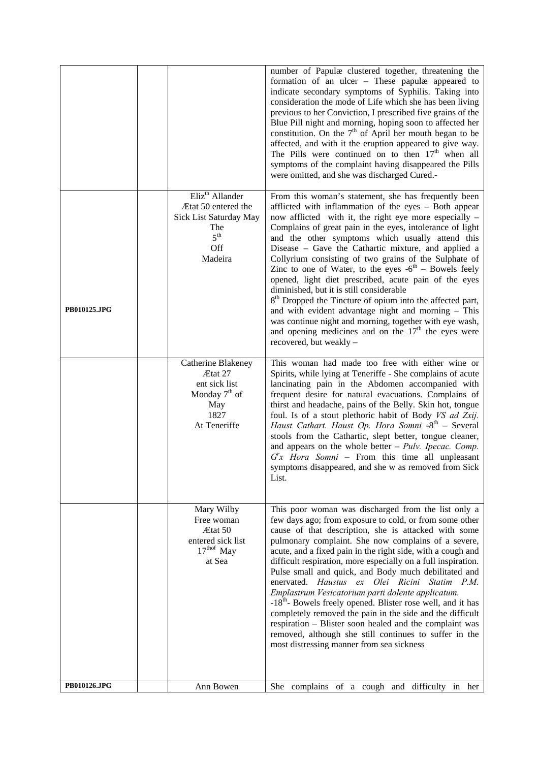|              |                                                                                                                          | number of Papulæ clustered together, threatening the<br>formation of an ulcer – These papulæ appeared to<br>indicate secondary symptoms of Syphilis. Taking into<br>consideration the mode of Life which she has been living<br>previous to her Conviction, I prescribed five grains of the<br>Blue Pill night and morning, hoping soon to affected her<br>constitution. On the $7th$ of April her mouth began to be<br>affected, and with it the eruption appeared to give way.<br>The Pills were continued on to then 17 <sup>th</sup> when all<br>symptoms of the complaint having disappeared the Pills<br>were omitted, and she was discharged Cured.-                                                                                                                                                                                                         |
|--------------|--------------------------------------------------------------------------------------------------------------------------|---------------------------------------------------------------------------------------------------------------------------------------------------------------------------------------------------------------------------------------------------------------------------------------------------------------------------------------------------------------------------------------------------------------------------------------------------------------------------------------------------------------------------------------------------------------------------------------------------------------------------------------------------------------------------------------------------------------------------------------------------------------------------------------------------------------------------------------------------------------------|
| PB010125.JPG | Eliz <sup>th</sup> Allander<br>Ætat 50 entered the<br>Sick List Saturday May<br>The<br>5 <sup>th</sup><br>Off<br>Madeira | From this woman's statement, she has frequently been<br>afflicted with inflammation of the eyes - Both appear<br>now afflicted with it, the right eye more especially –<br>Complains of great pain in the eyes, intolerance of light<br>and the other symptoms which usually attend this<br>Disease - Gave the Cathartic mixture, and applied a<br>Collyrium consisting of two grains of the Sulphate of<br>Zinc to one of Water, to the eyes $-6$ <sup>th</sup> – Bowels feely<br>opened, light diet prescribed, acute pain of the eyes<br>diminished, but it is still considerable<br>8 <sup>th</sup> Dropped the Tincture of opium into the affected part,<br>and with evident advantage night and morning - This<br>was continue night and morning, together with eye wash,<br>and opening medicines and on the $17th$ the eyes were<br>recovered, but weakly - |
|              | Catherine Blakeney<br>Ætat 27<br>ent sick list<br>Monday $7th$ of<br>May<br>1827<br>At Teneriffe                         | This woman had made too free with either wine or<br>Spirits, while lying at Teneriffe - She complains of acute<br>lancinating pain in the Abdomen accompanied with<br>frequent desire for natural evacuations. Complains of<br>thirst and headache, pains of the Belly. Skin hot, tongue<br>foul. Is of a stout plethoric habit of Body VS ad Zxij.<br>Haust Cathart. Haust Op. Hora Somni -8th - Several<br>stools from the Cathartic, slept better, tongue cleaner,<br>and appears on the whole better $-$ <i>Pulv. Ipecac. Comp.</i><br>$G'x$ Hora Somni – From this time all unpleasant<br>symptoms disappeared, and she w as removed from Sick<br>List.                                                                                                                                                                                                        |
|              | Mary Wilby<br>Free woman<br>Ætat 50<br>entered sick list<br>17 <sup>thof</sup> May<br>at Sea                             | This poor woman was discharged from the list only a<br>few days ago; from exposure to cold, or from some other<br>cause of that description, she is attacked with some<br>pulmonary complaint. She now complains of a severe,<br>acute, and a fixed pain in the right side, with a cough and<br>difficult respiration, more especially on a full inspiration.<br>Pulse small and quick, and Body much debilitated and<br>enervated. Haustus ex Olei Ricini Statim P.M.<br>Emplastrum Vesicatorium parti dolente applicatum.<br>-18 <sup>th</sup> - Bowels freely opened. Blister rose well, and it has<br>completely removed the pain in the side and the difficult<br>respiration - Blister soon healed and the complaint was<br>removed, although she still continues to suffer in the<br>most distressing manner from sea sickness                               |
| PB010126.JPG | Ann Bowen                                                                                                                | She complains of a cough and difficulty in her                                                                                                                                                                                                                                                                                                                                                                                                                                                                                                                                                                                                                                                                                                                                                                                                                      |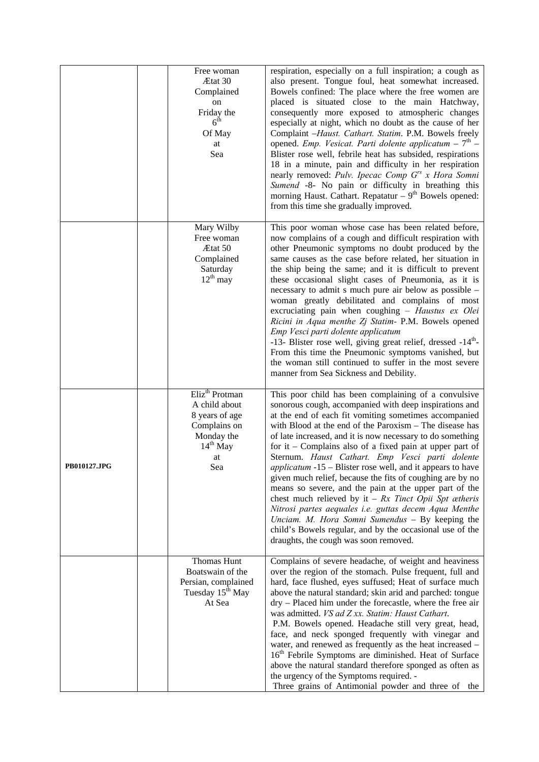|              | Free woman<br>Ætat 30<br>Complained<br>on<br>Friday the<br>$6^{\rm th}$<br>Of May<br>at<br>Sea                         | respiration, especially on a full inspiration; a cough as<br>also present. Tongue foul, heat somewhat increased.<br>Bowels confined: The place where the free women are<br>placed is situated close to the main Hatchway,<br>consequently more exposed to atmospheric changes<br>especially at night, which no doubt as the cause of her<br>Complaint -Haust. Cathart. Statim. P.M. Bowels freely<br>opened. Emp. Vesicat. Parti dolente applicatum $-7th$ -<br>Blister rose well, febrile heat has subsided, respirations<br>18 in a minute, pain and difficulty in her respiration<br>nearly removed: Pulv. Ipecac Comp G <sup>rs</sup> x Hora Somni<br>Sumend -8- No pain or difficulty in breathing this<br>morning Haust. Cathart. Repatatur $-9th$ Bowels opened:<br>from this time she gradually improved.                                                                       |
|--------------|------------------------------------------------------------------------------------------------------------------------|-----------------------------------------------------------------------------------------------------------------------------------------------------------------------------------------------------------------------------------------------------------------------------------------------------------------------------------------------------------------------------------------------------------------------------------------------------------------------------------------------------------------------------------------------------------------------------------------------------------------------------------------------------------------------------------------------------------------------------------------------------------------------------------------------------------------------------------------------------------------------------------------|
|              | Mary Wilby<br>Free woman<br>Ætat 50<br>Complained<br>Saturday<br>$12^{th}$ may                                         | This poor woman whose case has been related before,<br>now complains of a cough and difficult respiration with<br>other Pneumonic symptoms no doubt produced by the<br>same causes as the case before related, her situation in<br>the ship being the same; and it is difficult to prevent<br>these occasional slight cases of Pneumonia, as it is<br>necessary to admit s much pure air below as possible -<br>woman greatly debilitated and complains of most<br>excruciating pain when coughing - Haustus ex Olei<br>Ricini in Aqua menthe Zj Statim- P.M. Bowels opened<br>Emp Vesci parti dolente applicatum<br>-13- Blister rose well, giving great relief, dressed -14 <sup>th</sup> -<br>From this time the Pneumonic symptoms vanished, but<br>the woman still continued to suffer in the most severe<br>manner from Sea Sickness and Debility.                                |
| PB010127.JPG | Eliz <sup>th</sup> Protman<br>A child about<br>8 years of age<br>Complains on<br>Monday the<br>$14th$ May<br>at<br>Sea | This poor child has been complaining of a convulsive<br>sonorous cough, accompanied with deep inspirations and<br>at the end of each fit vomiting sometimes accompanied<br>with Blood at the end of the Paroxism - The disease has<br>of late increased, and it is now necessary to do something<br>for it – Complains also of a fixed pain at upper part of<br>Sternum. Haust Cathart. Emp Vesci parti dolente<br><i>applicatum</i> -15 – Blister rose well, and it appears to have<br>given much relief, because the fits of coughing are by no<br>means so severe, and the pain at the upper part of the<br>chest much relieved by it $- Rx$ Tinct Opii Spt ætheris<br>Nitrosi partes aequales i.e. guttas decem Aqua Menthe<br>Unciam. M. Hora Somni Sumendus - By keeping the<br>child's Bowels regular, and by the occasional use of the<br>draughts, the cough was soon removed. |
|              | Thomas Hunt<br>Boatswain of the<br>Persian, complained<br>Tuesday 15 <sup>th</sup> May<br>At Sea                       | Complains of severe headache, of weight and heaviness<br>over the region of the stomach. Pulse frequent, full and<br>hard, face flushed, eyes suffused; Heat of surface much<br>above the natural standard; skin arid and parched: tongue<br>dry - Placed him under the forecastle, where the free air<br>was admitted. VS ad Z xx. Statim: Haust Cathart.<br>P.M. Bowels opened. Headache still very great, head,<br>face, and neck sponged frequently with vinegar and<br>water, and renewed as frequently as the heat increased -<br>16 <sup>th</sup> Febrile Symptoms are diminished. Heat of Surface<br>above the natural standard therefore sponged as often as<br>the urgency of the Symptoms required. -<br>Three grains of Antimonial powder and three of the                                                                                                                  |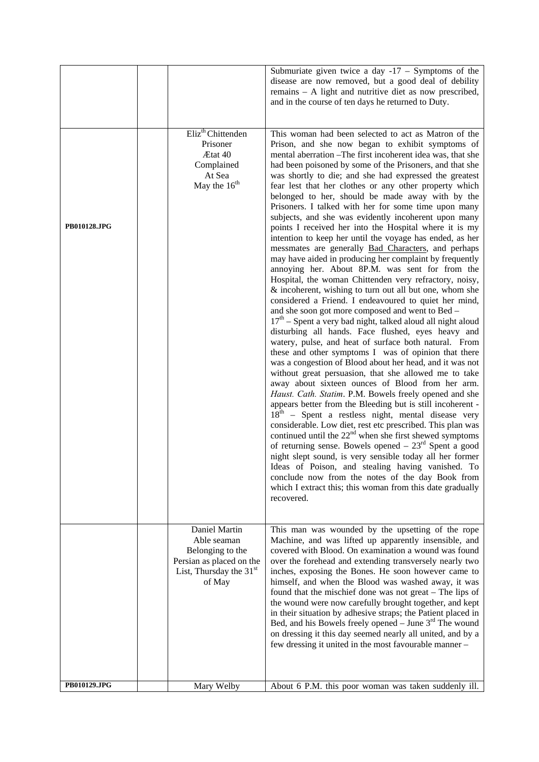|              |                                                                                                                     | Submuriate given twice a day $-17$ – Symptoms of the<br>disease are now removed, but a good deal of debility<br>remains $- A$ light and nutritive diet as now prescribed,<br>and in the course of ten days he returned to Duty.                                                                                                                                                                                                                                                                                                                                                                                                                                                                                                                                                                                                                                                                                                                                                                                                                                                                                                                                                                                                                                                                                                                                                                                                                                                                                                                                                                                                                                                                                                                                                                                                                                                                                                                                                                                                                                                                        |
|--------------|---------------------------------------------------------------------------------------------------------------------|--------------------------------------------------------------------------------------------------------------------------------------------------------------------------------------------------------------------------------------------------------------------------------------------------------------------------------------------------------------------------------------------------------------------------------------------------------------------------------------------------------------------------------------------------------------------------------------------------------------------------------------------------------------------------------------------------------------------------------------------------------------------------------------------------------------------------------------------------------------------------------------------------------------------------------------------------------------------------------------------------------------------------------------------------------------------------------------------------------------------------------------------------------------------------------------------------------------------------------------------------------------------------------------------------------------------------------------------------------------------------------------------------------------------------------------------------------------------------------------------------------------------------------------------------------------------------------------------------------------------------------------------------------------------------------------------------------------------------------------------------------------------------------------------------------------------------------------------------------------------------------------------------------------------------------------------------------------------------------------------------------------------------------------------------------------------------------------------------------|
| PB010128.JPG | Eliz <sup>th</sup> Chittenden<br>Prisoner<br>Ætat 40<br>Complained<br>At Sea<br>May the 16 <sup>th</sup>            | This woman had been selected to act as Matron of the<br>Prison, and she now began to exhibit symptoms of<br>mental aberration - The first incoherent idea was, that she<br>had been poisoned by some of the Prisoners, and that she<br>was shortly to die; and she had expressed the greatest<br>fear lest that her clothes or any other property which<br>belonged to her, should be made away with by the<br>Prisoners. I talked with her for some time upon many<br>subjects, and she was evidently incoherent upon many<br>points I received her into the Hospital where it is my<br>intention to keep her until the voyage has ended, as her<br>messmates are generally <b>Bad Characters</b> , and perhaps<br>may have aided in producing her complaint by frequently<br>annoying her. About 8P.M. was sent for from the<br>Hospital, the woman Chittenden very refractory, noisy,<br>& incoherent, wishing to turn out all but one, whom she<br>considered a Friend. I endeavoured to quiet her mind,<br>and she soon got more composed and went to Bed -<br>$17th$ – Spent a very bad night, talked aloud all night aloud<br>disturbing all hands. Face flushed, eyes heavy and<br>watery, pulse, and heat of surface both natural. From<br>these and other symptoms I was of opinion that there<br>was a congestion of Blood about her head, and it was not<br>without great persuasion, that she allowed me to take<br>away about sixteen ounces of Blood from her arm.<br>Haust. Cath. Statim. P.M. Bowels freely opened and she<br>appears better from the Bleeding but is still incoherent -<br>$18th$ – Spent a restless night, mental disease very<br>considerable. Low diet, rest etc prescribed. This plan was<br>continued until the $22nd$ when she first shewed symptoms<br>of returning sense. Bowels opened $-23rd$ Spent a good<br>night slept sound, is very sensible today all her former<br>Ideas of Poison, and stealing having vanished. To<br>conclude now from the notes of the day Book from<br>which I extract this; this woman from this date gradually<br>recovered. |
|              | Daniel Martin<br>Able seaman<br>Belonging to the<br>Persian as placed on the<br>List, Thursday the $31st$<br>of May | This man was wounded by the upsetting of the rope<br>Machine, and was lifted up apparently insensible, and<br>covered with Blood. On examination a wound was found<br>over the forehead and extending transversely nearly two<br>inches, exposing the Bones. He soon however came to<br>himself, and when the Blood was washed away, it was<br>found that the mischief done was not great – The lips of<br>the wound were now carefully brought together, and kept<br>in their situation by adhesive straps; the Patient placed in<br>Bed, and his Bowels freely opened $-$ June $3rd$ The wound<br>on dressing it this day seemed nearly all united, and by a<br>few dressing it united in the most favourable manner -                                                                                                                                                                                                                                                                                                                                                                                                                                                                                                                                                                                                                                                                                                                                                                                                                                                                                                                                                                                                                                                                                                                                                                                                                                                                                                                                                                               |
| PB010129.JPG | Mary Welby                                                                                                          | About 6 P.M. this poor woman was taken suddenly ill.                                                                                                                                                                                                                                                                                                                                                                                                                                                                                                                                                                                                                                                                                                                                                                                                                                                                                                                                                                                                                                                                                                                                                                                                                                                                                                                                                                                                                                                                                                                                                                                                                                                                                                                                                                                                                                                                                                                                                                                                                                                   |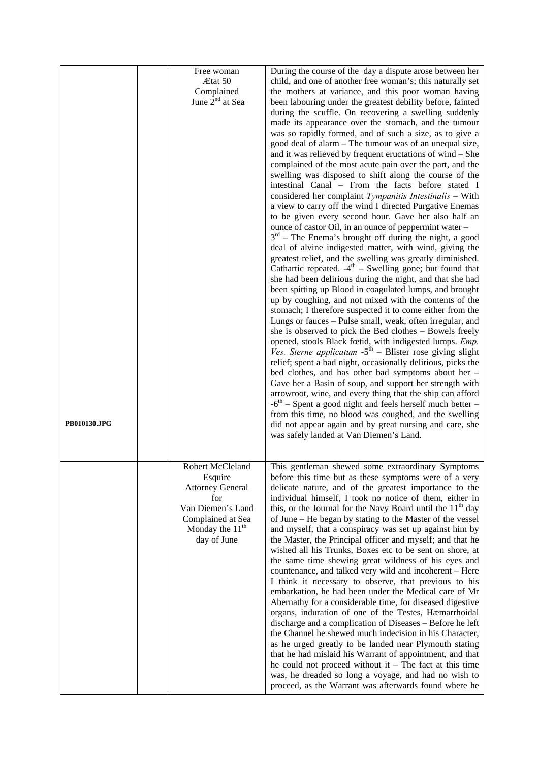| PB010130.JPG | Free woman<br>Ætat 50<br>Complained<br>June 2 <sup>nd</sup> at Sea                                                                          | During the course of the day a dispute arose between her<br>child, and one of another free woman's; this naturally set<br>the mothers at variance, and this poor woman having<br>been labouring under the greatest debility before, fainted<br>during the scuffle. On recovering a swelling suddenly<br>made its appearance over the stomach, and the tumour<br>was so rapidly formed, and of such a size, as to give a<br>good deal of alarm – The tumour was of an unequal size,<br>and it was relieved by frequent eructations of wind - She<br>complained of the most acute pain over the part, and the<br>swelling was disposed to shift along the course of the<br>intestinal Canal - From the facts before stated I<br>considered her complaint Tympanitis Intestinalis - With<br>a view to carry off the wind I directed Purgative Enemas<br>to be given every second hour. Gave her also half an<br>ounce of castor Oil, in an ounce of peppermint water -<br>$3rd$ – The Enema's brought off during the night, a good<br>deal of alvine indigested matter, with wind, giving the<br>greatest relief, and the swelling was greatly diminished.<br>Cathartic repeated. $-4th$ – Swelling gone; but found that<br>she had been delirious during the night, and that she had<br>been spitting up Blood in coagulated lumps, and brought<br>up by coughing, and not mixed with the contents of the<br>stomach; I therefore suspected it to come either from the<br>Lungs or fauces – Pulse small, weak, often irregular, and<br>she is observed to pick the Bed clothes - Bowels freely<br>opened, stools Black fœtid, with indigested lumps. Emp.<br>Ves. Sterne applicatum -5 <sup>th</sup> - Blister rose giving slight<br>relief; spent a bad night, occasionally delirious, picks the<br>bed clothes, and has other bad symptoms about her -<br>Gave her a Basin of soup, and support her strength with<br>arrowroot, wine, and every thing that the ship can afford<br>$-6th$ – Spent a good night and feels herself much better –<br>from this time, no blood was coughed, and the swelling<br>did not appear again and by great nursing and care, she<br>was safely landed at Van Diemen's Land. |
|--------------|---------------------------------------------------------------------------------------------------------------------------------------------|---------------------------------------------------------------------------------------------------------------------------------------------------------------------------------------------------------------------------------------------------------------------------------------------------------------------------------------------------------------------------------------------------------------------------------------------------------------------------------------------------------------------------------------------------------------------------------------------------------------------------------------------------------------------------------------------------------------------------------------------------------------------------------------------------------------------------------------------------------------------------------------------------------------------------------------------------------------------------------------------------------------------------------------------------------------------------------------------------------------------------------------------------------------------------------------------------------------------------------------------------------------------------------------------------------------------------------------------------------------------------------------------------------------------------------------------------------------------------------------------------------------------------------------------------------------------------------------------------------------------------------------------------------------------------------------------------------------------------------------------------------------------------------------------------------------------------------------------------------------------------------------------------------------------------------------------------------------------------------------------------------------------------------------------------------------------------------------------------------------------------------------------------------------------------------------------------------------|
|              | Robert McCleland<br>Esquire<br><b>Attorney General</b><br>for<br>Van Diemen's Land<br>Complained at Sea<br>Monday the $11th$<br>day of June | This gentleman shewed some extraordinary Symptoms<br>before this time but as these symptoms were of a very<br>delicate nature, and of the greatest importance to the<br>individual himself, I took no notice of them, either in<br>this, or the Journal for the Navy Board until the 11 <sup>th</sup> day<br>of June – He began by stating to the Master of the vessel<br>and myself, that a conspiracy was set up against him by<br>the Master, the Principal officer and myself; and that he<br>wished all his Trunks, Boxes etc to be sent on shore, at<br>the same time shewing great wildness of his eyes and<br>countenance, and talked very wild and incoherent - Here<br>I think it necessary to observe, that previous to his<br>embarkation, he had been under the Medical care of Mr<br>Abernathy for a considerable time, for diseased digestive<br>organs, induration of one of the Testes, Hæmarrhoidal<br>discharge and a complication of Diseases - Before he left<br>the Channel he shewed much indecision in his Character,<br>as he urged greatly to be landed near Plymouth stating<br>that he had mislaid his Warrant of appointment, and that<br>he could not proceed without it $-$ The fact at this time<br>was, he dreaded so long a voyage, and had no wish to<br>proceed, as the Warrant was afterwards found where he                                                                                                                                                                                                                                                                                                                                                                                                                                                                                                                                                                                                                                                                                                                                                                                                                                                             |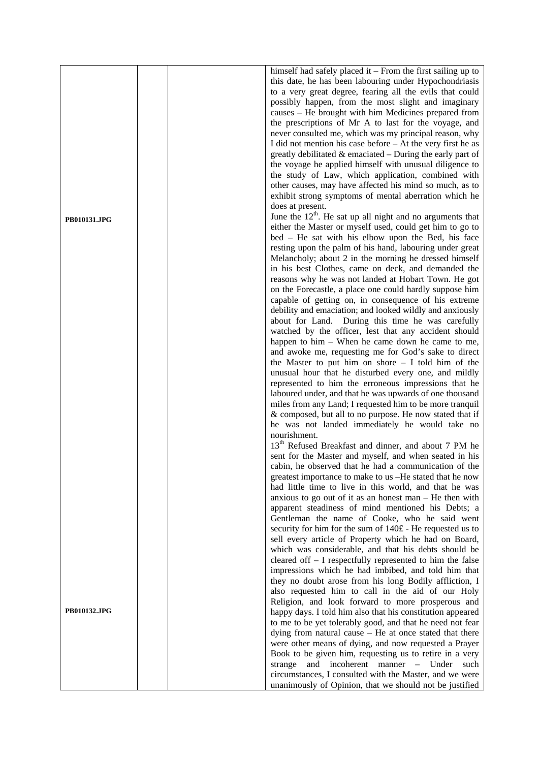|              | himself had safely placed it $-$ From the first sailing up to    |
|--------------|------------------------------------------------------------------|
|              | this date, he has been labouring under Hypochondriasis           |
|              | to a very great degree, fearing all the evils that could         |
|              | possibly happen, from the most slight and imaginary              |
|              | causes – He brought with him Medicines prepared from             |
|              |                                                                  |
|              | the prescriptions of Mr A to last for the voyage, and            |
|              | never consulted me, which was my principal reason, why           |
|              | I did not mention his case before – At the very first he as      |
|              | greatly debilitated $\&$ emaciated $-$ During the early part of  |
|              | the voyage he applied himself with unusual diligence to          |
|              |                                                                  |
|              | the study of Law, which application, combined with               |
|              | other causes, may have affected his mind so much, as to          |
|              | exhibit strong symptoms of mental aberration which he            |
|              | does at present.                                                 |
|              | June the $12th$ . He sat up all night and no arguments that      |
| PB010131.JPG | either the Master or myself used, could get him to go to         |
|              |                                                                  |
|              | bed – He sat with his elbow upon the Bed, his face               |
|              | resting upon the palm of his hand, labouring under great         |
|              | Melancholy; about 2 in the morning he dressed himself            |
|              | in his best Clothes, came on deck, and demanded the              |
|              | reasons why he was not landed at Hobart Town. He got             |
|              | on the Forecastle, a place one could hardly suppose him          |
|              |                                                                  |
|              | capable of getting on, in consequence of his extreme             |
|              | debility and emaciation; and looked wildly and anxiously         |
|              | about for Land. During this time he was carefully                |
|              | watched by the officer, lest that any accident should            |
|              | happen to him – When he came down he came to me,                 |
|              | and awoke me, requesting me for God's sake to direct             |
|              |                                                                  |
|              | the Master to put him on shore $- I$ told him of the             |
|              | unusual hour that he disturbed every one, and mildly             |
|              | represented to him the erroneous impressions that he             |
|              | laboured under, and that he was upwards of one thousand          |
|              | miles from any Land; I requested him to be more tranquil         |
|              | & composed, but all to no purpose. He now stated that if         |
|              |                                                                  |
|              | he was not landed immediately he would take no                   |
|              | nourishment.                                                     |
|              | 13 <sup>th</sup> Refused Breakfast and dinner, and about 7 PM he |
|              | sent for the Master and myself, and when seated in his           |
|              | cabin, he observed that he had a communication of the            |
|              | greatest importance to make to us -He stated that he now         |
|              | had little time to live in this world, and that he was           |
|              |                                                                  |
|              | anxious to go out of it as an honest man $-$ He then with        |
|              | apparent steadiness of mind mentioned his Debts; a               |
|              | Gentleman the name of Cooke, who he said went                    |
|              | security for him for the sum of 140£ - He requested us to        |
|              | sell every article of Property which he had on Board,            |
|              | which was considerable, and that his debts should be             |
|              |                                                                  |
|              | cleared off $-$ I respectfully represented to him the false      |
|              | impressions which he had imbibed, and told him that              |
|              | they no doubt arose from his long Bodily affliction, I           |
|              | also requested him to call in the aid of our Holy                |
|              | Religion, and look forward to more prosperous and                |
| PB010132.JPG | happy days. I told him also that his constitution appeared       |
|              |                                                                  |
|              | to me to be yet tolerably good, and that he need not fear        |
|              | dying from natural cause $-$ He at once stated that there        |
|              | were other means of dying, and now requested a Prayer            |
|              | Book to be given him, requesting us to retire in a very          |
|              | and incoherent manner – Under<br>such<br>strange                 |
|              | circumstances, I consulted with the Master, and we were          |
|              | unanimously of Opinion, that we should not be justified          |
|              |                                                                  |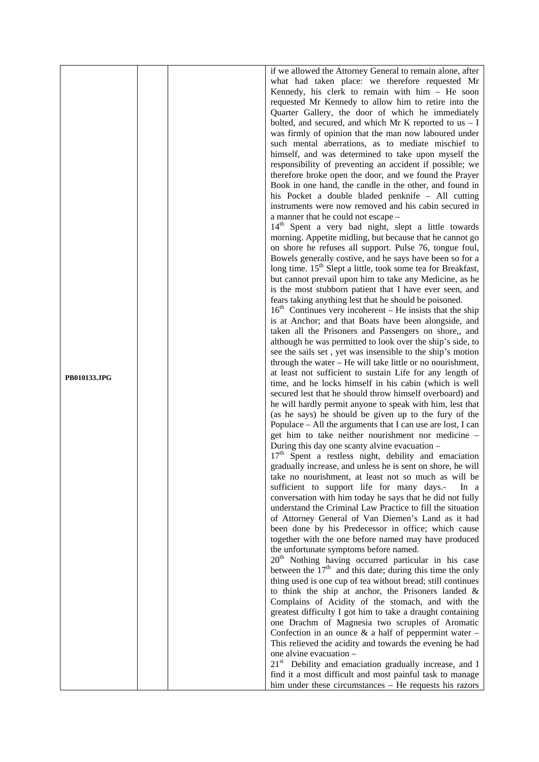|              |  | if we allowed the Attorney General to remain alone, after                                                                                                                                                                                                                                                                                                                                                                                                                                                                                                                                                                                                                      |
|--------------|--|--------------------------------------------------------------------------------------------------------------------------------------------------------------------------------------------------------------------------------------------------------------------------------------------------------------------------------------------------------------------------------------------------------------------------------------------------------------------------------------------------------------------------------------------------------------------------------------------------------------------------------------------------------------------------------|
|              |  | what had taken place: we therefore requested Mr                                                                                                                                                                                                                                                                                                                                                                                                                                                                                                                                                                                                                                |
|              |  |                                                                                                                                                                                                                                                                                                                                                                                                                                                                                                                                                                                                                                                                                |
|              |  | Kennedy, his clerk to remain with $him - He$ soon                                                                                                                                                                                                                                                                                                                                                                                                                                                                                                                                                                                                                              |
|              |  | requested Mr Kennedy to allow him to retire into the                                                                                                                                                                                                                                                                                                                                                                                                                                                                                                                                                                                                                           |
|              |  | Quarter Gallery, the door of which he immediately                                                                                                                                                                                                                                                                                                                                                                                                                                                                                                                                                                                                                              |
|              |  |                                                                                                                                                                                                                                                                                                                                                                                                                                                                                                                                                                                                                                                                                |
|              |  | bolted, and secured, and which Mr K reported to us $- I$                                                                                                                                                                                                                                                                                                                                                                                                                                                                                                                                                                                                                       |
|              |  | was firmly of opinion that the man now laboured under                                                                                                                                                                                                                                                                                                                                                                                                                                                                                                                                                                                                                          |
|              |  | such mental aberrations, as to mediate mischief to                                                                                                                                                                                                                                                                                                                                                                                                                                                                                                                                                                                                                             |
|              |  |                                                                                                                                                                                                                                                                                                                                                                                                                                                                                                                                                                                                                                                                                |
|              |  | himself, and was determined to take upon myself the                                                                                                                                                                                                                                                                                                                                                                                                                                                                                                                                                                                                                            |
|              |  | responsibility of preventing an accident if possible; we                                                                                                                                                                                                                                                                                                                                                                                                                                                                                                                                                                                                                       |
|              |  | therefore broke open the door, and we found the Prayer                                                                                                                                                                                                                                                                                                                                                                                                                                                                                                                                                                                                                         |
|              |  | Book in one hand, the candle in the other, and found in                                                                                                                                                                                                                                                                                                                                                                                                                                                                                                                                                                                                                        |
|              |  |                                                                                                                                                                                                                                                                                                                                                                                                                                                                                                                                                                                                                                                                                |
|              |  | his Pocket a double bladed penknife - All cutting                                                                                                                                                                                                                                                                                                                                                                                                                                                                                                                                                                                                                              |
|              |  | instruments were now removed and his cabin secured in                                                                                                                                                                                                                                                                                                                                                                                                                                                                                                                                                                                                                          |
|              |  | a manner that he could not escape -                                                                                                                                                                                                                                                                                                                                                                                                                                                                                                                                                                                                                                            |
|              |  | 14 <sup>th</sup> Spent a very bad night, slept a little towards                                                                                                                                                                                                                                                                                                                                                                                                                                                                                                                                                                                                                |
|              |  |                                                                                                                                                                                                                                                                                                                                                                                                                                                                                                                                                                                                                                                                                |
|              |  | morning. Appetite midling, but because that he cannot go                                                                                                                                                                                                                                                                                                                                                                                                                                                                                                                                                                                                                       |
|              |  | on shore he refuses all support. Pulse 76, tongue foul,                                                                                                                                                                                                                                                                                                                                                                                                                                                                                                                                                                                                                        |
|              |  | Bowels generally costive, and he says have been so for a                                                                                                                                                                                                                                                                                                                                                                                                                                                                                                                                                                                                                       |
|              |  | long time. 15 <sup>th</sup> Slept a little, took some tea for Breakfast,                                                                                                                                                                                                                                                                                                                                                                                                                                                                                                                                                                                                       |
|              |  |                                                                                                                                                                                                                                                                                                                                                                                                                                                                                                                                                                                                                                                                                |
|              |  |                                                                                                                                                                                                                                                                                                                                                                                                                                                                                                                                                                                                                                                                                |
|              |  |                                                                                                                                                                                                                                                                                                                                                                                                                                                                                                                                                                                                                                                                                |
|              |  |                                                                                                                                                                                                                                                                                                                                                                                                                                                                                                                                                                                                                                                                                |
|              |  |                                                                                                                                                                                                                                                                                                                                                                                                                                                                                                                                                                                                                                                                                |
|              |  |                                                                                                                                                                                                                                                                                                                                                                                                                                                                                                                                                                                                                                                                                |
|              |  | but cannot prevail upon him to take any Medicine, as he<br>is the most stubborn patient that I have ever seen, and<br>fears taking anything lest that he should be poisoned.<br>$16th$ Continues very incoherent – He insists that the ship<br>is at Anchor; and that Boats have been alongside, and<br>taken all the Prisoners and Passengers on shore,, and<br>although he was permitted to look over the ship's side, to<br>see the sails set, yet was insensible to the ship's motion<br>through the water – He will take little or no nourishment,<br>at least not sufficient to sustain Life for any length of<br>time, and he locks himself in his cabin (which is well |
|              |  |                                                                                                                                                                                                                                                                                                                                                                                                                                                                                                                                                                                                                                                                                |
|              |  |                                                                                                                                                                                                                                                                                                                                                                                                                                                                                                                                                                                                                                                                                |
|              |  |                                                                                                                                                                                                                                                                                                                                                                                                                                                                                                                                                                                                                                                                                |
|              |  |                                                                                                                                                                                                                                                                                                                                                                                                                                                                                                                                                                                                                                                                                |
|              |  |                                                                                                                                                                                                                                                                                                                                                                                                                                                                                                                                                                                                                                                                                |
| PB010133.JPG |  |                                                                                                                                                                                                                                                                                                                                                                                                                                                                                                                                                                                                                                                                                |
|              |  |                                                                                                                                                                                                                                                                                                                                                                                                                                                                                                                                                                                                                                                                                |
|              |  | secured lest that he should throw himself overboard) and                                                                                                                                                                                                                                                                                                                                                                                                                                                                                                                                                                                                                       |
|              |  | he will hardly permit anyone to speak with him, lest that                                                                                                                                                                                                                                                                                                                                                                                                                                                                                                                                                                                                                      |
|              |  |                                                                                                                                                                                                                                                                                                                                                                                                                                                                                                                                                                                                                                                                                |
|              |  | (as he says) he should be given up to the fury of the                                                                                                                                                                                                                                                                                                                                                                                                                                                                                                                                                                                                                          |
|              |  | Populace – All the arguments that I can use are lost, I can                                                                                                                                                                                                                                                                                                                                                                                                                                                                                                                                                                                                                    |
|              |  | get him to take neither nourishment nor medicine –                                                                                                                                                                                                                                                                                                                                                                                                                                                                                                                                                                                                                             |
|              |  | During this day one scanty alvine evacuation -                                                                                                                                                                                                                                                                                                                                                                                                                                                                                                                                                                                                                                 |
|              |  | 17 <sup>th</sup> Spent a restless night, debility and emaciation                                                                                                                                                                                                                                                                                                                                                                                                                                                                                                                                                                                                               |
|              |  |                                                                                                                                                                                                                                                                                                                                                                                                                                                                                                                                                                                                                                                                                |
|              |  | gradually increase, and unless he is sent on shore, he will                                                                                                                                                                                                                                                                                                                                                                                                                                                                                                                                                                                                                    |
|              |  | take no nourishment, at least not so much as will be                                                                                                                                                                                                                                                                                                                                                                                                                                                                                                                                                                                                                           |
|              |  | sufficient to support life for many days.-<br>In a                                                                                                                                                                                                                                                                                                                                                                                                                                                                                                                                                                                                                             |
|              |  | conversation with him today he says that he did not fully                                                                                                                                                                                                                                                                                                                                                                                                                                                                                                                                                                                                                      |
|              |  |                                                                                                                                                                                                                                                                                                                                                                                                                                                                                                                                                                                                                                                                                |
|              |  | understand the Criminal Law Practice to fill the situation                                                                                                                                                                                                                                                                                                                                                                                                                                                                                                                                                                                                                     |
|              |  | of Attorney General of Van Diemen's Land as it had                                                                                                                                                                                                                                                                                                                                                                                                                                                                                                                                                                                                                             |
|              |  | been done by his Predecessor in office; which cause                                                                                                                                                                                                                                                                                                                                                                                                                                                                                                                                                                                                                            |
|              |  | together with the one before named may have produced                                                                                                                                                                                                                                                                                                                                                                                                                                                                                                                                                                                                                           |
|              |  | the unfortunate symptoms before named.                                                                                                                                                                                                                                                                                                                                                                                                                                                                                                                                                                                                                                         |
|              |  |                                                                                                                                                                                                                                                                                                                                                                                                                                                                                                                                                                                                                                                                                |
|              |  | 20 <sup>th</sup> Nothing having occurred particular in his case                                                                                                                                                                                                                                                                                                                                                                                                                                                                                                                                                                                                                |
|              |  | between the $17th$ and this date; during this time the only                                                                                                                                                                                                                                                                                                                                                                                                                                                                                                                                                                                                                    |
|              |  | thing used is one cup of tea without bread; still continues                                                                                                                                                                                                                                                                                                                                                                                                                                                                                                                                                                                                                    |
|              |  | to think the ship at anchor, the Prisoners landed $\&$                                                                                                                                                                                                                                                                                                                                                                                                                                                                                                                                                                                                                         |
|              |  | Complains of Acidity of the stomach, and with the                                                                                                                                                                                                                                                                                                                                                                                                                                                                                                                                                                                                                              |
|              |  |                                                                                                                                                                                                                                                                                                                                                                                                                                                                                                                                                                                                                                                                                |
|              |  | greatest difficulty I got him to take a draught containing                                                                                                                                                                                                                                                                                                                                                                                                                                                                                                                                                                                                                     |
|              |  | one Drachm of Magnesia two scruples of Aromatic                                                                                                                                                                                                                                                                                                                                                                                                                                                                                                                                                                                                                                |
|              |  | Confection in an ounce $\&$ a half of peppermint water –                                                                                                                                                                                                                                                                                                                                                                                                                                                                                                                                                                                                                       |
|              |  | This relieved the acidity and towards the evening he had                                                                                                                                                                                                                                                                                                                                                                                                                                                                                                                                                                                                                       |
|              |  | one alvine evacuation -                                                                                                                                                                                                                                                                                                                                                                                                                                                                                                                                                                                                                                                        |
|              |  | 21 <sup>st</sup> Debility and emaciation gradually increase, and I                                                                                                                                                                                                                                                                                                                                                                                                                                                                                                                                                                                                             |
|              |  |                                                                                                                                                                                                                                                                                                                                                                                                                                                                                                                                                                                                                                                                                |
|              |  | find it a most difficult and most painful task to manage                                                                                                                                                                                                                                                                                                                                                                                                                                                                                                                                                                                                                       |
|              |  | him under these circumstances – He requests his razors                                                                                                                                                                                                                                                                                                                                                                                                                                                                                                                                                                                                                         |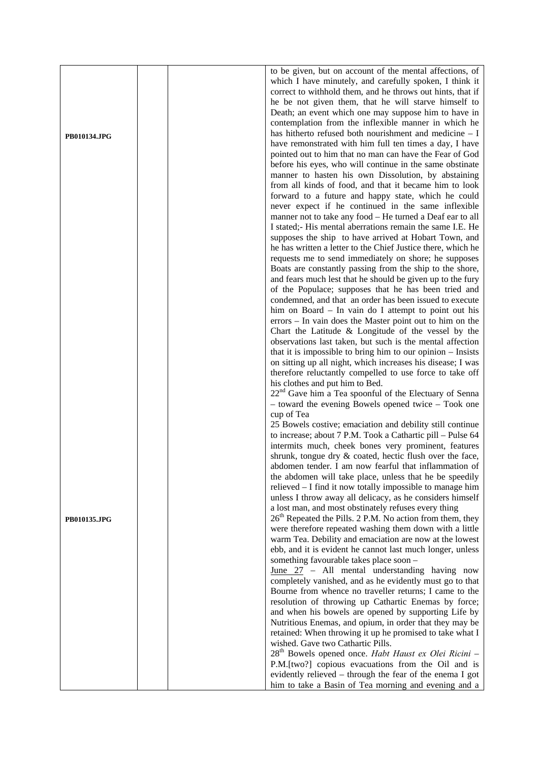|                                               | to be given, but on account of the mental affections, of           |
|-----------------------------------------------|--------------------------------------------------------------------|
|                                               |                                                                    |
|                                               | which I have minutely, and carefully spoken, I think it            |
|                                               | correct to withhold them, and he throws out hints, that if         |
|                                               |                                                                    |
|                                               | he be not given them, that he will starve himself to               |
|                                               | Death; an event which one may suppose him to have in               |
|                                               |                                                                    |
|                                               | contemplation from the inflexible manner in which he               |
|                                               |                                                                    |
| PB010134.JPG                                  | has hitherto refused both nourishment and medicine $- I$           |
|                                               | have remonstrated with him full ten times a day, I have            |
|                                               |                                                                    |
|                                               | pointed out to him that no man can have the Fear of God            |
|                                               | before his eyes, who will continue in the same obstinate           |
|                                               |                                                                    |
|                                               | manner to hasten his own Dissolution, by abstaining                |
|                                               | from all kinds of food, and that it became him to look             |
|                                               |                                                                    |
|                                               | forward to a future and happy state, which he could                |
|                                               | never expect if he continued in the same inflexible                |
|                                               |                                                                    |
|                                               | manner not to take any food – He turned a Deaf ear to all          |
|                                               |                                                                    |
|                                               | I stated; His mental aberrations remain the same I.E. He           |
|                                               | supposes the ship to have arrived at Hobart Town, and              |
|                                               |                                                                    |
|                                               | he has written a letter to the Chief Justice there, which he       |
|                                               | requests me to send immediately on shore; he supposes              |
|                                               |                                                                    |
|                                               | Boats are constantly passing from the ship to the shore,           |
|                                               | and fears much lest that he should be given up to the fury         |
|                                               |                                                                    |
|                                               | of the Populace; supposes that he has been tried and               |
|                                               | condemned, and that an order has been issued to execute            |
|                                               |                                                                    |
|                                               | him on Board – In vain do I attempt to point out his               |
|                                               | errors – In vain does the Master point out to him on the           |
|                                               |                                                                    |
|                                               | Chart the Latitude & Longitude of the vessel by the                |
|                                               | observations last taken, but such is the mental affection          |
|                                               |                                                                    |
|                                               | that it is impossible to bring him to our opinion $-$ Insists      |
|                                               | on sitting up all night, which increases his disease; I was        |
|                                               |                                                                    |
|                                               | therefore reluctantly compelled to use force to take off           |
|                                               |                                                                    |
| his clothes and put him to Bed.<br>cup of Tea |                                                                    |
|                                               | 22 <sup>nd</sup> Gave him a Tea spoonful of the Electuary of Senna |
|                                               | - toward the evening Bowels opened twice - Took one                |
|                                               |                                                                    |
|                                               |                                                                    |
|                                               | 25 Bowels costive; emaciation and debility still continue          |
|                                               |                                                                    |
|                                               | to increase; about 7 P.M. Took a Cathartic pill – Pulse 64         |
|                                               | intermits much, cheek bones very prominent, features               |
|                                               |                                                                    |
|                                               | shrunk, tongue dry & coated, hectic flush over the face,           |
|                                               | abdomen tender. I am now fearful that inflammation of              |
|                                               |                                                                    |
|                                               | the abdomen will take place, unless that he be speedily            |
|                                               | relieved - I find it now totally impossible to manage him          |
|                                               |                                                                    |
|                                               | unless I throw away all delicacy, as he considers himself          |
|                                               | a lost man, and most obstinately refuses every thing               |
|                                               | $26th$ Repeated the Pills. 2 P.M. No action from them, they        |
| PB010135.JPG                                  |                                                                    |
|                                               | were therefore repeated washing them down with a little            |
|                                               | warm Tea. Debility and emaciation are now at the lowest            |
|                                               |                                                                    |
|                                               | ebb, and it is evident he cannot last much longer, unless          |
|                                               | something favourable takes place soon -                            |
|                                               |                                                                    |
|                                               | $June 27 - All mental understanding having now$                    |
|                                               | completely vanished, and as he evidently must go to that           |
|                                               |                                                                    |
|                                               | Bourne from whence no traveller returns; I came to the             |
|                                               | resolution of throwing up Cathartic Enemas by force;               |
|                                               |                                                                    |
|                                               | and when his bowels are opened by supporting Life by               |
|                                               | Nutritious Enemas, and opium, in order that they may be            |
|                                               |                                                                    |
|                                               | retained: When throwing it up he promised to take what I           |
|                                               | wished. Gave two Cathartic Pills.                                  |
|                                               |                                                                    |
|                                               | 28 <sup>th</sup> Bowels opened once. Habt Haust ex Olei Ricini -   |
|                                               | P.M.[two?] copious evacuations from the Oil and is                 |
|                                               | evidently relieved – through the fear of the enema I got           |
|                                               |                                                                    |
|                                               | him to take a Basin of Tea morning and evening and a               |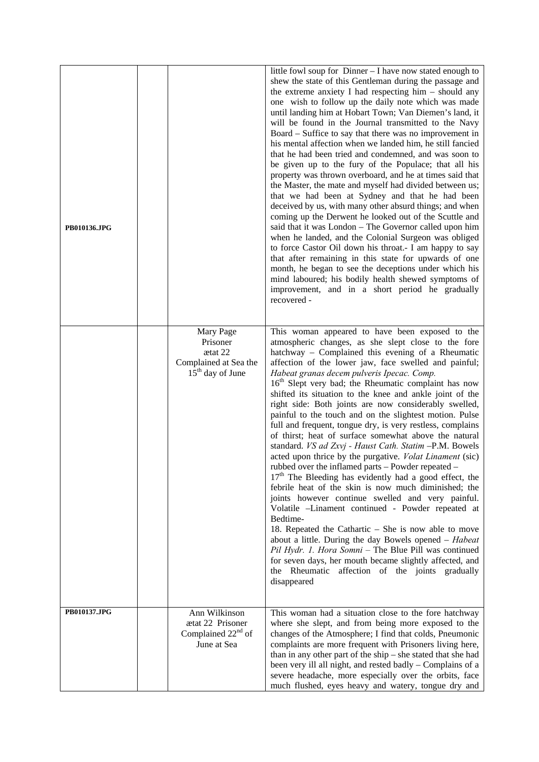| PB010136.JPG |                                                                                    | little fowl soup for Dinner - I have now stated enough to<br>shew the state of this Gentleman during the passage and<br>the extreme anxiety I had respecting $him - should any$<br>one wish to follow up the daily note which was made<br>until landing him at Hobart Town; Van Diemen's land, it<br>will be found in the Journal transmitted to the Navy<br>Board – Suffice to say that there was no improvement in<br>his mental affection when we landed him, he still fancied<br>that he had been tried and condemned, and was soon to<br>be given up to the fury of the Populace; that all his<br>property was thrown overboard, and he at times said that<br>the Master, the mate and myself had divided between us;<br>that we had been at Sydney and that he had been<br>deceived by us, with many other absurd things; and when<br>coming up the Derwent he looked out of the Scuttle and<br>said that it was London - The Governor called upon him<br>when he landed, and the Colonial Surgeon was obliged<br>to force Castor Oil down his throat. I am happy to say<br>that after remaining in this state for upwards of one<br>month, he began to see the deceptions under which his<br>mind laboured; his bodily health shewed symptoms of<br>improvement, and in a short period he gradually<br>recovered -                                                                   |
|--------------|------------------------------------------------------------------------------------|---------------------------------------------------------------------------------------------------------------------------------------------------------------------------------------------------------------------------------------------------------------------------------------------------------------------------------------------------------------------------------------------------------------------------------------------------------------------------------------------------------------------------------------------------------------------------------------------------------------------------------------------------------------------------------------------------------------------------------------------------------------------------------------------------------------------------------------------------------------------------------------------------------------------------------------------------------------------------------------------------------------------------------------------------------------------------------------------------------------------------------------------------------------------------------------------------------------------------------------------------------------------------------------------------------------------------------------------------------------------------------------------|
|              | Mary Page<br>Prisoner<br>ætat 22<br>Complained at Sea the<br>$15th$ day of June    | This woman appeared to have been exposed to the<br>atmospheric changes, as she slept close to the fore<br>hatchway – Complained this evening of a Rheumatic<br>affection of the lower jaw, face swelled and painful;<br>Habeat granas decem pulveris Ipecac. Comp.<br>16 <sup>th</sup> Slept very bad; the Rheumatic complaint has now<br>shifted its situation to the knee and ankle joint of the<br>right side: Both joints are now considerably swelled,<br>painful to the touch and on the slightest motion. Pulse<br>full and frequent, tongue dry, is very restless, complains<br>of thirst; heat of surface somewhat above the natural<br>standard. VS ad Zxvj - Haust Cath. Statim -P.M. Bowels<br>acted upon thrice by the purgative. <i>Volat Linament</i> (sic)<br>rubbed over the inflamed parts - Powder repeated -<br>17 <sup>th</sup> The Bleeding has evidently had a good effect, the<br>febrile heat of the skin is now much diminished; the<br>joints however continue swelled and very painful.<br>Volatile -Linament continued - Powder repeated at<br>Bedtime-<br>18. Repeated the Cathartic – She is now able to move<br>about a little. During the day Bowels opened - Habeat<br>Pil Hydr. 1. Hora Somni - The Blue Pill was continued<br>for seven days, her mouth became slightly affected, and<br>the Rheumatic affection of the joints gradually<br>disappeared |
| PB010137.JPG | Ann Wilkinson<br>ætat 22 Prisoner<br>Complained 22 <sup>nd</sup> of<br>June at Sea | This woman had a situation close to the fore hatchway<br>where she slept, and from being more exposed to the<br>changes of the Atmosphere; I find that colds, Pneumonic<br>complaints are more frequent with Prisoners living here,<br>than in any other part of the $\sin p - \sin$ stated that she had<br>been very ill all night, and rested badly – Complains of a<br>severe headache, more especially over the orbits, face<br>much flushed, eyes heavy and watery, tongue dry and                                                                                                                                                                                                                                                                                                                                                                                                                                                                                                                                                                                                                                                                                                                                                                                                                                                                                                     |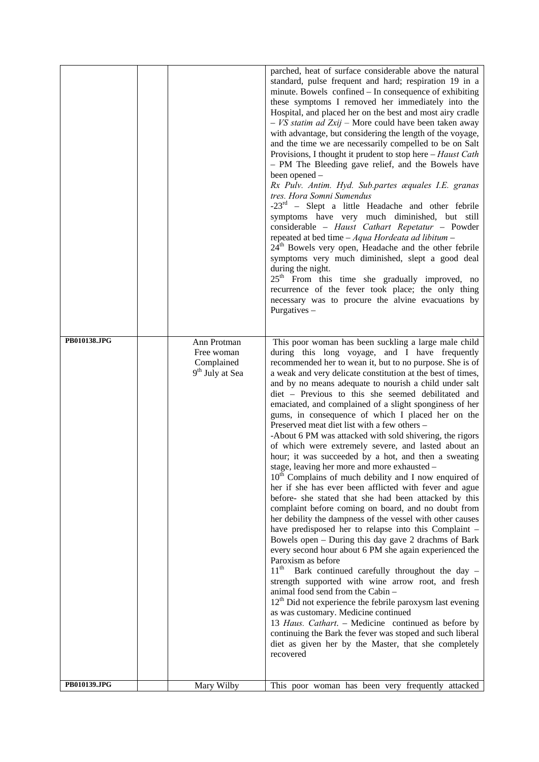|              |                                                                        | parched, heat of surface considerable above the natural<br>standard, pulse frequent and hard; respiration 19 in a<br>minute. Bowels confined – In consequence of exhibiting<br>these symptoms I removed her immediately into the<br>Hospital, and placed her on the best and most airy cradle<br>$- VS$ statim ad Zxij – More could have been taken away<br>with advantage, but considering the length of the voyage,<br>and the time we are necessarily compelled to be on Salt<br>Provisions, I thought it prudent to stop here – Haust Cath<br>- PM The Bleeding gave relief, and the Bowels have<br>been opened -<br>Rx Pulv. Antim. Hyd. Sub.partes æquales I.E. granas<br>tres. Hora Somni Sumendus<br>$-23rd$ – Slept a little Headache and other febrile<br>symptoms have very much diminished, but still<br>considerable - Haust Cathart Repetatur - Powder<br>repeated at bed time $-Aqua$ Hordeata ad libitum $-$<br>24 <sup>th</sup> Bowels very open, Headache and the other febrile<br>symptoms very much diminished, slept a good deal<br>during the night.<br>25 <sup>th</sup> From this time she gradually improved, no<br>recurrence of the fever took place; the only thing<br>necessary was to procure the alvine evacuations by<br>Purgatives-                                                                                                                                                                                                                                                                                                                                                                                                                                                                 |
|--------------|------------------------------------------------------------------------|-------------------------------------------------------------------------------------------------------------------------------------------------------------------------------------------------------------------------------------------------------------------------------------------------------------------------------------------------------------------------------------------------------------------------------------------------------------------------------------------------------------------------------------------------------------------------------------------------------------------------------------------------------------------------------------------------------------------------------------------------------------------------------------------------------------------------------------------------------------------------------------------------------------------------------------------------------------------------------------------------------------------------------------------------------------------------------------------------------------------------------------------------------------------------------------------------------------------------------------------------------------------------------------------------------------------------------------------------------------------------------------------------------------------------------------------------------------------------------------------------------------------------------------------------------------------------------------------------------------------------------------------------------------------------------------------------------------------------------------|
| PB010138.JPG | Ann Protman<br>Free woman<br>Complained<br>9 <sup>th</sup> July at Sea | This poor woman has been suckling a large male child<br>during this long voyage, and I have frequently<br>recommended her to wean it, but to no purpose. She is of<br>a weak and very delicate constitution at the best of times,<br>and by no means adequate to nourish a child under salt<br>diet - Previous to this she seemed debilitated and<br>emaciated, and complained of a slight sponginess of her<br>gums, in consequence of which I placed her on the<br>Preserved meat diet list with a few others -<br>-About 6 PM was attacked with sold shivering, the rigors<br>of which were extremely severe, and lasted about an<br>hour; it was succeeded by a hot, and then a sweating<br>stage, leaving her more and more exhausted -<br>10 <sup>th</sup> Complains of much debility and I now enquired of<br>her if she has ever been afflicted with fever and ague<br>before- she stated that she had been attacked by this<br>complaint before coming on board, and no doubt from<br>her debility the dampness of the vessel with other causes<br>have predisposed her to relapse into this Complaint -<br>Bowels open - During this day gave 2 drachms of Bark<br>every second hour about 6 PM she again experienced the<br>Paroxism as before<br>$11^{\text{th}}$<br>Bark continued carefully throughout the day -<br>strength supported with wine arrow root, and fresh<br>animal food send from the Cabin -<br>12 <sup>th</sup> Did not experience the febrile paroxysm last evening<br>as was customary. Medicine continued<br>13 Haus. Cathart. - Medicine continued as before by<br>continuing the Bark the fever was stoped and such liberal<br>diet as given her by the Master, that she completely<br>recovered |
| PB010139.JPG | Mary Wilby                                                             | This poor woman has been very frequently attacked                                                                                                                                                                                                                                                                                                                                                                                                                                                                                                                                                                                                                                                                                                                                                                                                                                                                                                                                                                                                                                                                                                                                                                                                                                                                                                                                                                                                                                                                                                                                                                                                                                                                                   |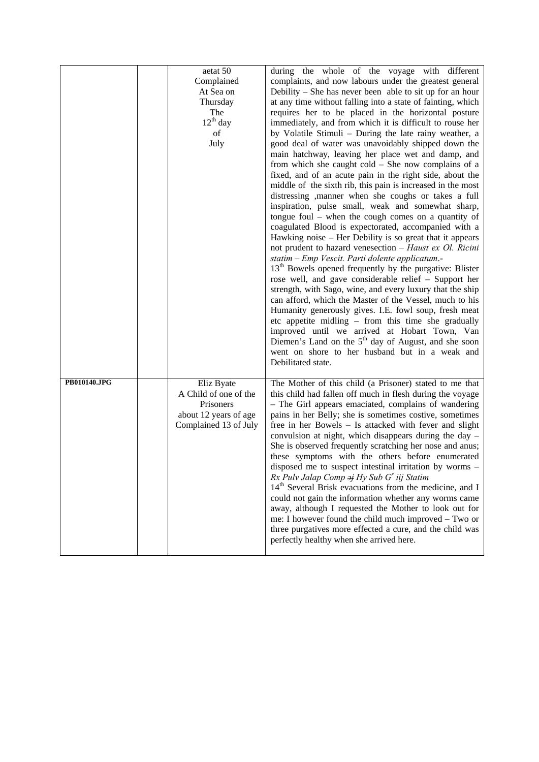|              | aetat 50<br>Complained<br>At Sea on<br>Thursday<br>The<br>$12^{th}$ day<br>of<br>July              | during the whole of the voyage with different<br>complaints, and now labours under the greatest general<br>Debility $-$ She has never been able to sit up for an hour<br>at any time without falling into a state of fainting, which<br>requires her to be placed in the horizontal posture<br>immediately, and from which it is difficult to rouse her<br>by Volatile Stimuli - During the late rainy weather, a<br>good deal of water was unavoidably shipped down the<br>main hatchway, leaving her place wet and damp, and<br>from which she caught $cold - She$ now complains of a<br>fixed, and of an acute pain in the right side, about the<br>middle of the sixth rib, this pain is increased in the most<br>distressing , manner when she coughs or takes a full<br>inspiration, pulse small, weak and somewhat sharp,<br>tongue foul $-$ when the cough comes on a quantity of<br>coagulated Blood is expectorated, accompanied with a<br>Hawking noise – Her Debility is so great that it appears<br>not prudent to hazard venesection $-$ Haust ex Ol. Ricini<br>statim - Emp Vescit. Parti dolente applicatum.-<br>13 <sup>th</sup> Bowels opened frequently by the purgative: Blister<br>rose well, and gave considerable relief - Support her<br>strength, with Sago, wine, and every luxury that the ship<br>can afford, which the Master of the Vessel, much to his<br>Humanity generously gives. I.E. fowl soup, fresh meat<br>etc appetite midling – from this time she gradually |
|--------------|----------------------------------------------------------------------------------------------------|-------------------------------------------------------------------------------------------------------------------------------------------------------------------------------------------------------------------------------------------------------------------------------------------------------------------------------------------------------------------------------------------------------------------------------------------------------------------------------------------------------------------------------------------------------------------------------------------------------------------------------------------------------------------------------------------------------------------------------------------------------------------------------------------------------------------------------------------------------------------------------------------------------------------------------------------------------------------------------------------------------------------------------------------------------------------------------------------------------------------------------------------------------------------------------------------------------------------------------------------------------------------------------------------------------------------------------------------------------------------------------------------------------------------------------------------------------------------------------------------------------|
| PB010140.JPG | Eliz Byate<br>A Child of one of the<br>Prisoners<br>about 12 years of age<br>Complained 13 of July | Diemen's Land on the $5th$ day of August, and she soon<br>went on shore to her husband but in a weak and<br>Debilitated state.<br>The Mother of this child (a Prisoner) stated to me that<br>this child had fallen off much in flesh during the voyage<br>- The Girl appears emaciated, complains of wandering<br>pains in her Belly; she is sometimes costive, sometimes<br>free in her Bowels – Is attacked with fever and slight<br>convulsion at night, which disappears during the day $-$<br>She is observed frequently scratching her nose and anus;<br>these symptoms with the others before enumerated<br>disposed me to suspect intestinal irritation by worms -<br>Rx Pulv Jalap Comp $\Rightarrow$ Hy Sub G' iij Statim<br>14 <sup>th</sup> Several Brisk evacuations from the medicine, and I<br>could not gain the information whether any worms came<br>away, although I requested the Mother to look out for<br>me: I however found the child much improved – Two or<br>three purgatives more effected a cure, and the child was<br>perfectly healthy when she arrived here.                                                                                                                                                                                                                                                                                                                                                                                                          |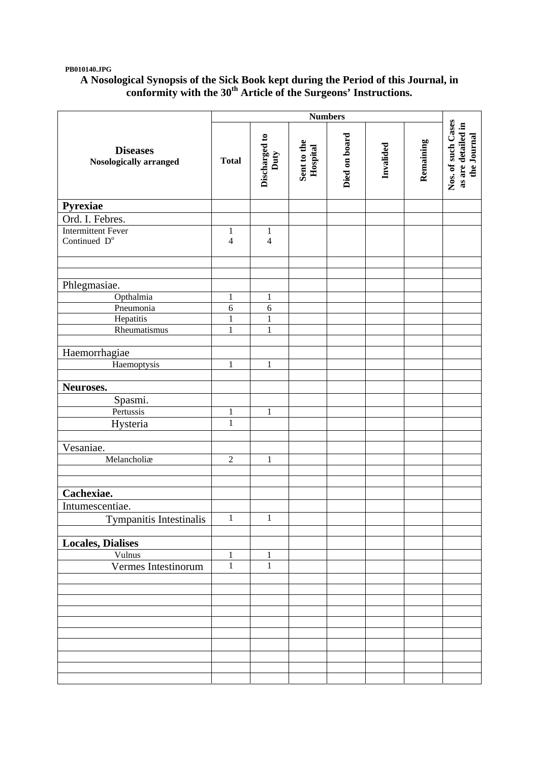## **PB010140.JPG**

## **A Nosological Synopsis of the Sick Book kept during the Period of this Journal, in conformity with the 30th Article of the Surgeons' Instructions.**

|                                           | <b>Numbers</b> |                       |                         |               |           |           |                                                         |
|-------------------------------------------|----------------|-----------------------|-------------------------|---------------|-----------|-----------|---------------------------------------------------------|
| <b>Diseases</b><br>Nosologically arranged | <b>Total</b>   | Discharged to<br>Duty | Sent to the<br>Hospital | Died on board | Invalided | Remaining | Nos. of such Cases<br>as are detailed in<br>the Journal |
| Pyrexiae                                  |                |                       |                         |               |           |           |                                                         |
| Ord. I. Febres.                           |                |                       |                         |               |           |           |                                                         |
| <b>Intermittent Fever</b>                 | $\mathbf{1}$   | $\mathbf{1}$          |                         |               |           |           |                                                         |
| Continued D <sup>o</sup>                  | $\overline{4}$ | $\overline{4}$        |                         |               |           |           |                                                         |
|                                           |                |                       |                         |               |           |           |                                                         |
| Phlegmasiae.                              |                |                       |                         |               |           |           |                                                         |
| Opthalmia                                 | $\mathbf{1}$   | $\mathbf{1}$          |                         |               |           |           |                                                         |
| Pneumonia                                 | 6              | $\sqrt{6}$            |                         |               |           |           |                                                         |
| Hepatitis                                 | $\mathbf{1}$   | $\mathbf{1}$          |                         |               |           |           |                                                         |
| Rheumatismus                              | $\mathbf{1}$   | $\mathbf{1}$          |                         |               |           |           |                                                         |
|                                           |                |                       |                         |               |           |           |                                                         |
| Haemorrhagiae                             |                |                       |                         |               |           |           |                                                         |
| Haemoptysis                               | $\mathbf{1}$   | $\mathbf{1}$          |                         |               |           |           |                                                         |
| Neuroses.                                 |                |                       |                         |               |           |           |                                                         |
| Spasmi.                                   |                |                       |                         |               |           |           |                                                         |
| Pertussis                                 | $\mathbf{1}$   | $\mathbf{1}$          |                         |               |           |           |                                                         |
| Hysteria                                  | $\overline{1}$ |                       |                         |               |           |           |                                                         |
|                                           |                |                       |                         |               |           |           |                                                         |
| Vesaniae.                                 |                |                       |                         |               |           |           |                                                         |
| Melancholiæ                               | $\overline{2}$ | $\mathbf{1}$          |                         |               |           |           |                                                         |
|                                           |                |                       |                         |               |           |           |                                                         |
|                                           |                |                       |                         |               |           |           |                                                         |
| Cachexiae.                                |                |                       |                         |               |           |           |                                                         |
| Intumescentiae.                           |                |                       |                         |               |           |           |                                                         |
| <b>Tympanitis Intestinalis</b>            | $\mathbf{1}$   | $\,1$                 |                         |               |           |           |                                                         |
|                                           |                |                       |                         |               |           |           |                                                         |
| <b>Locales, Dialises</b>                  |                |                       |                         |               |           |           |                                                         |
| Vulnus                                    | $\mathbf{1}$   | $\mathbf{1}$          |                         |               |           |           |                                                         |
| Vermes Intestinorum                       | $\mathbf{1}$   | $\mathbf{1}$          |                         |               |           |           |                                                         |
|                                           |                |                       |                         |               |           |           |                                                         |
|                                           |                |                       |                         |               |           |           |                                                         |
|                                           |                |                       |                         |               |           |           |                                                         |
|                                           |                |                       |                         |               |           |           |                                                         |
|                                           |                |                       |                         |               |           |           |                                                         |
|                                           |                |                       |                         |               |           |           |                                                         |
|                                           |                |                       |                         |               |           |           |                                                         |
|                                           |                |                       |                         |               |           |           |                                                         |
|                                           |                |                       |                         |               |           |           |                                                         |
|                                           |                |                       |                         |               |           |           |                                                         |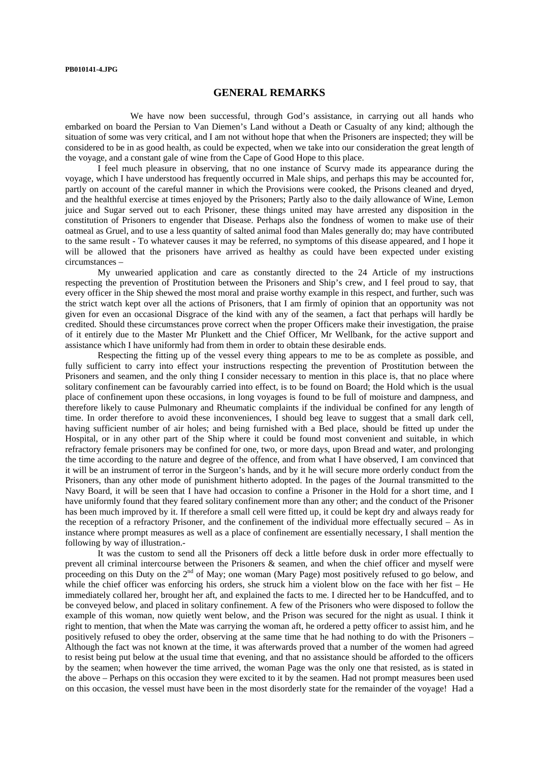## **GENERAL REMARKS**

 We have now been successful, through God's assistance, in carrying out all hands who embarked on board the Persian to Van Diemen's Land without a Death or Casualty of any kind; although the situation of some was very critical, and I am not without hope that when the Prisoners are inspected; they will be considered to be in as good health, as could be expected, when we take into our consideration the great length of the voyage, and a constant gale of wine from the Cape of Good Hope to this place.

 I feel much pleasure in observing, that no one instance of Scurvy made its appearance during the voyage, which I have understood has frequently occurred in Male ships, and perhaps this may be accounted for, partly on account of the careful manner in which the Provisions were cooked, the Prisons cleaned and dryed, and the healthful exercise at times enjoyed by the Prisoners; Partly also to the daily allowance of Wine, Lemon juice and Sugar served out to each Prisoner, these things united may have arrested any disposition in the constitution of Prisoners to engender that Disease. Perhaps also the fondness of women to make use of their oatmeal as Gruel, and to use a less quantity of salted animal food than Males generally do; may have contributed to the same result - To whatever causes it may be referred, no symptoms of this disease appeared, and I hope it will be allowed that the prisoners have arrived as healthy as could have been expected under existing circumstances –

 My unwearied application and care as constantly directed to the 24 Article of my instructions respecting the prevention of Prostitution between the Prisoners and Ship's crew, and I feel proud to say, that every officer in the Ship shewed the most moral and praise worthy example in this respect, and further, such was the strict watch kept over all the actions of Prisoners, that I am firmly of opinion that an opportunity was not given for even an occasional Disgrace of the kind with any of the seamen, a fact that perhaps will hardly be credited. Should these circumstances prove correct when the proper Officers make their investigation, the praise of it entirely due to the Master Mr Plunkett and the Chief Officer, Mr Wellbank, for the active support and assistance which I have uniformly had from them in order to obtain these desirable ends.

 Respecting the fitting up of the vessel every thing appears to me to be as complete as possible, and fully sufficient to carry into effect your instructions respecting the prevention of Prostitution between the Prisoners and seamen, and the only thing I consider necessary to mention in this place is, that no place where solitary confinement can be favourably carried into effect, is to be found on Board; the Hold which is the usual place of confinement upon these occasions, in long voyages is found to be full of moisture and dampness, and therefore likely to cause Pulmonary and Rheumatic complaints if the individual be confined for any length of time. In order therefore to avoid these inconveniences, I should beg leave to suggest that a small dark cell, having sufficient number of air holes; and being furnished with a Bed place, should be fitted up under the Hospital, or in any other part of the Ship where it could be found most convenient and suitable, in which refractory female prisoners may be confined for one, two, or more days, upon Bread and water, and prolonging the time according to the nature and degree of the offence, and from what I have observed, I am convinced that it will be an instrument of terror in the Surgeon's hands, and by it he will secure more orderly conduct from the Prisoners, than any other mode of punishment hitherto adopted. In the pages of the Journal transmitted to the Navy Board, it will be seen that I have had occasion to confine a Prisoner in the Hold for a short time, and I have uniformly found that they feared solitary confinement more than any other; and the conduct of the Prisoner has been much improved by it. If therefore a small cell were fitted up, it could be kept dry and always ready for the reception of a refractory Prisoner, and the confinement of the individual more effectually secured – As in instance where prompt measures as well as a place of confinement are essentially necessary, I shall mention the following by way of illustration.-

 It was the custom to send all the Prisoners off deck a little before dusk in order more effectually to prevent all criminal intercourse between the Prisoners & seamen, and when the chief officer and myself were proceeding on this Duty on the 2<sup>nd</sup> of May; one woman (Mary Page) most positively refused to go below, and proceeding on this Duty on the 2<sup>nd</sup> of May; one woman (Mary Page) most positively refused to go below, and while the chief officer was enforcing his orders, she struck him a violent blow on the face with her fist – He immediately collared her, brought her aft, and explained the facts to me. I directed her to be Handcuffed, and to be conveyed below, and placed in solitary confinement. A few of the Prisoners who were disposed to follow the example of this woman, now quietly went below, and the Prison was secured for the night as usual. I think it right to mention, that when the Mate was carrying the woman aft, he ordered a petty officer to assist him, and he positively refused to obey the order, observing at the same time that he had nothing to do with the Prisoners – Although the fact was not known at the time, it was afterwards proved that a number of the women had agreed to resist being put below at the usual time that evening, and that no assistance should be afforded to the officers by the seamen; when however the time arrived, the woman Page was the only one that resisted, as is stated in the above – Perhaps on this occasion they were excited to it by the seamen. Had not prompt measures been used on this occasion, the vessel must have been in the most disorderly state for the remainder of the voyage! Had a